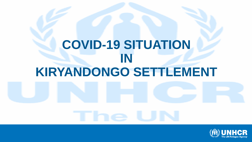# **COVID-19 SITUATION IN KIRYANDONGO SETTLEMENT**

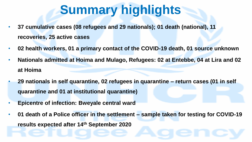# **Summary highlights**

- **37 cumulative cases (08 refugees and 29 nationals); 01 death (national), 11 recoveries, 25 active cases**
- **02 health workers, 01 a primary contact of the COVID-19 death, 01 source unknown**
- **Nationals admitted at Hoima and Mulago, Refugees: 02 at Entebbe, 04 at Lira and 02 at Hoima**
- **29 nationals in self quarantine, 02 refugees in quarantine – return cases (01 in self quarantine and 01 at institutional quarantine)**
- **Epicentre of infection: Bweyale central ward**
- **01 death of a Police officer in the settlement – sample taken for testing for COVID-19 results expected after 14th September 2020**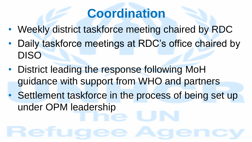### **Coordination**

- Weekly district taskforce meeting chaired by RDC
- Daily taskforce meetings at RDC's office chaired by DISO
- District leading the response following MoH guidance with support from WHO and partners
- Settlement taskforce in the process of being set up under OPM leadership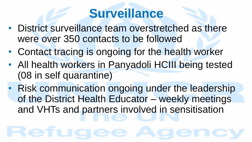#### **Surveillance**

- District surveillance team overstretched as there were over 350 contacts to be followed
- Contact tracing is ongoing for the health worker
- All health workers in Panyadoli HCIII being tested (08 in self quarantine)
- Risk communication ongoing under the leadership of the District Health Educator – weekly meetings and VHTs and partners involved in sensitisation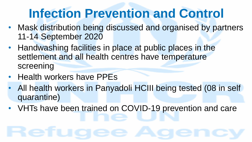## **Infection Prevention and Control**

- Mask distribution being discussed and organised by partners 11-14 September 2020
- Handwashing facilities in place at public places in the settlement and all health centres have temperature screening
- Health workers have PPEs
- All health workers in Panyadoli HCIII being tested (08 in self quarantine)
- VHTs have been trained on COVID-19 prevention and care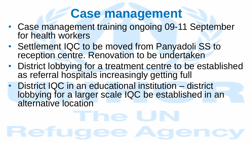#### **Case management**

- Case management training ongoing 09-11 September for health workers
- Settlement IQC to be moved from Panyadoli SS to reception centre. Renovation to be undertaken
- District lobbying for a treatment centre to be established as referral hospitals increasingly getting full
- District IQC in an educational institution district lobbying for a larger scale IQC be established in an alternative location